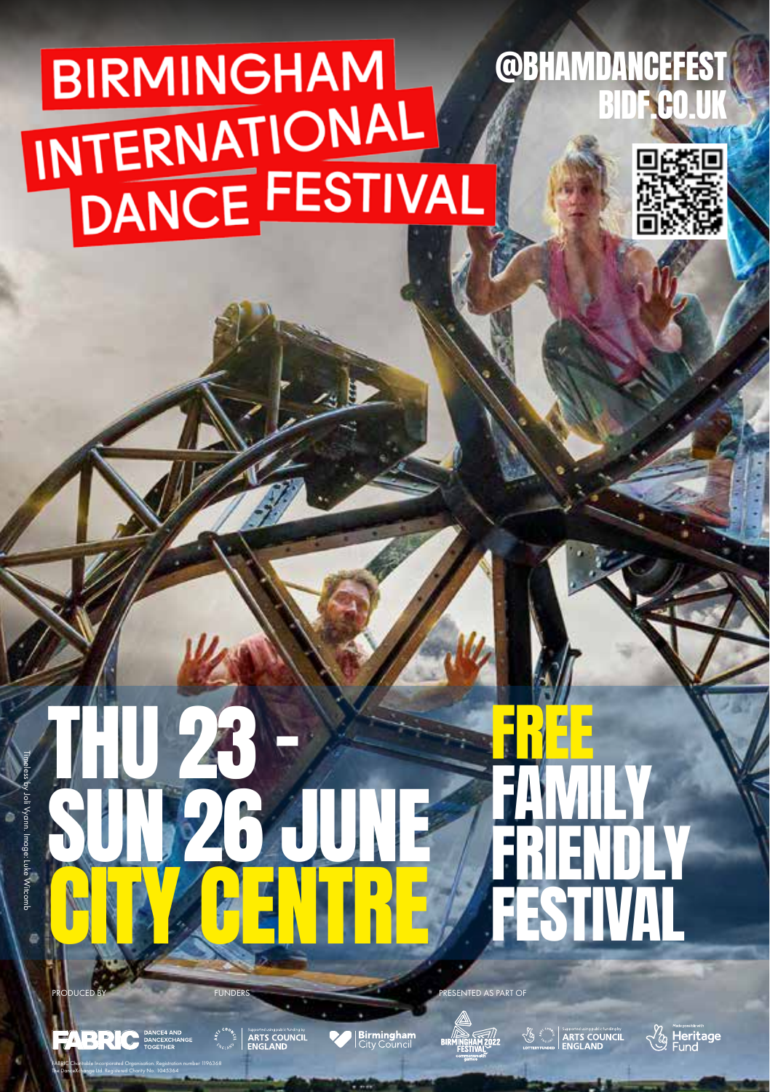# **BIRMINGHAM** INTERNATIONAL<br>DANCE FESTIVAL







FABRIC Charitable Incorporated Organisation. Registration number 1196368

THU 23 –

ARTS COUNCIL

**PRODUCED BY FUNDERS** FUNDERS **PRESENTED AS PART OF** 

SUN 26 JUNE

CITY CENTRE

**Birmingham** 



**& ARTS COUNCIL** 

FREE

FESTIVAL

FAMILY

FRIENDLY

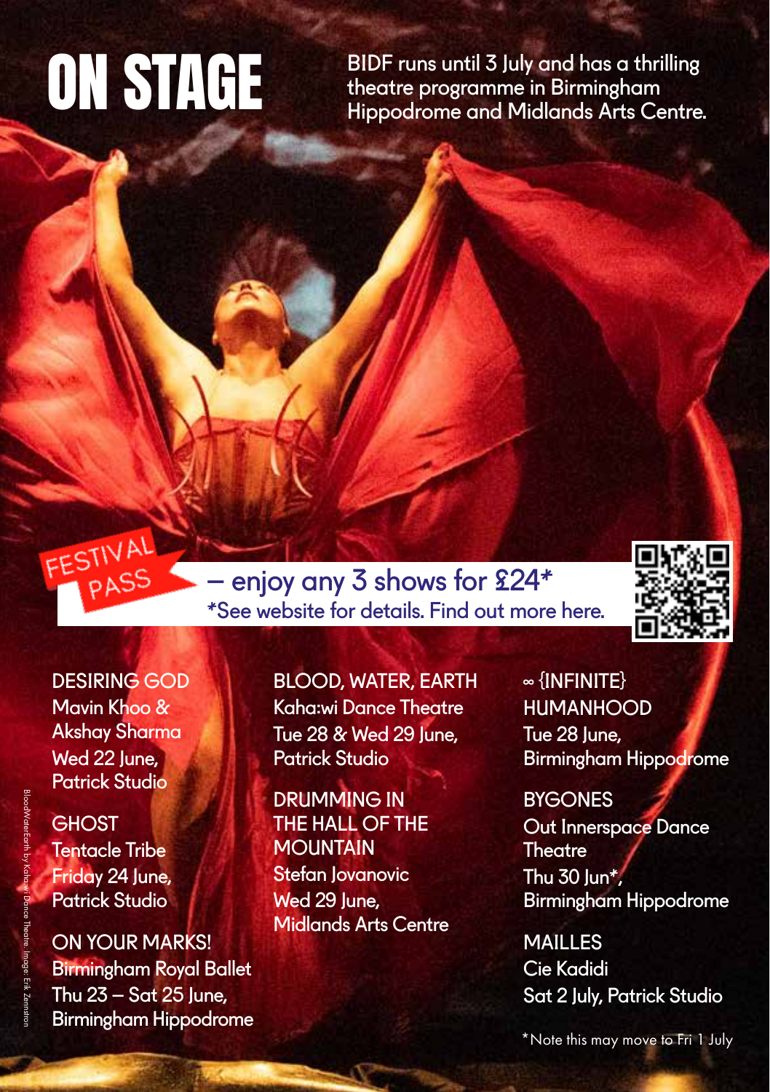BIDF runs until 3 July and has a thrilling<br>theatre programme in Birmingham **ON STAGE** BIDF runs until 3 July and has a thrilling<br>Hippodrome and Midlands Arts Centre.



DESIRING GOD Mavin Khoo & Akshay Sharma Wed 22 lune. Patrick Studio

FESTIVAL PASS

**GHOST** Tentacle Tribe Friday 24 June, Patrick Studio

ON YOUR MARKS! Birmingham Royal Ballet Thu  $23 - S$ at  $25$  lune. Birmingham Hippodrome

BLOOD, WATER, EARTH Kaha:wi Dance Theatre Tue 28 & Wed 29 June. Patrick Studio

 – enjoy any 3 shows for £24\* \*See website for details. Find out more here.

> DRUMMING IN THE HALL OF THE **MOUNTAIN** Stefan Jovanovic Wed 29 June. Midlands Arts Centre

∞ {INFINITE} HUMANHOOD Tue 28 lune. Birmingham Hippodrome

**BYGONES** Out Innerspace Dance **Theatre** Thu  $30$  lun\*, Birmingham Hippodrome

**MAILLES** Cie Kadidi Sat 2 July, Patrick Studio

\*Note this may move to Fri 1 July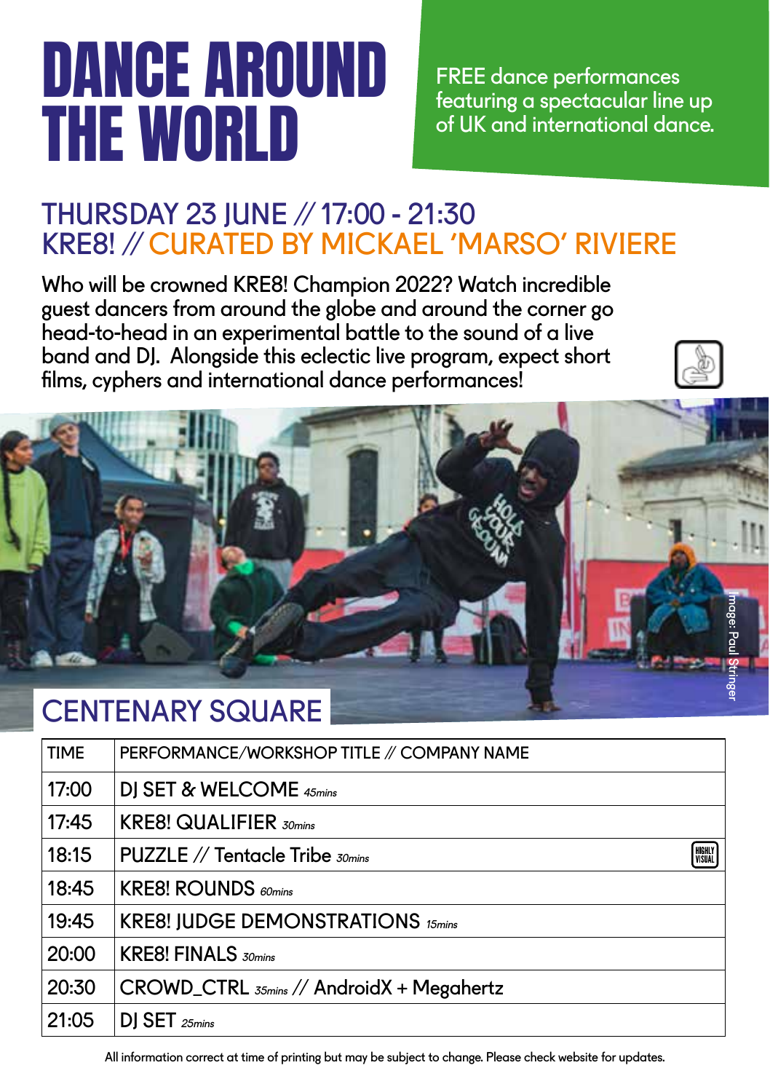## DANCE AROUND THE WORLD

FREE dance performances featuring a spectacular line up of UK and international dance.

#### THURSDAY 23 JUNE // 17:00 - 21:30 KRE8! // CURATED BY MICKAEL 'MARSO' RIVIERE

Who will be crowned KRE8! Champion 2022? Watch incredible guest dancers from around the globe and around the corner go head-to-head in an experimental battle to the sound of a live band and DJ. Alongside this eclectic live program, expect short films, cyphers and international dance performances!



#### CENTENARY SQUARE

| <b>TIME</b> | PERFORMANCE/WORKSHOP TITLE // COMPANY NAME            |
|-------------|-------------------------------------------------------|
| 17:00       | DJ SET & WELCOME 45mins                               |
| 17:45       | <b>KRE8! QUALIFIER 30mins</b>                         |
| 18:15       | HIGHLY<br>  Visual<br>PUZZLE // Tentacle Tribe 30mins |
| 18:45       | <b>KRE8! ROUNDS</b> 60mins                            |
| 19:45       | <b>KRE8! JUDGE DEMONSTRATIONS 15mins</b>              |
| 20:00       | <b>KRE8! FINALS</b> 30mins                            |
| 20:30       | $CROWD_CTRL$ $_{55min}$ // AndroidX + Megahertz       |
| 21:05       | DJ SET 25mins                                         |
|             |                                                       |

All information correct at time of printing but may be subject to change. Please check website for updates.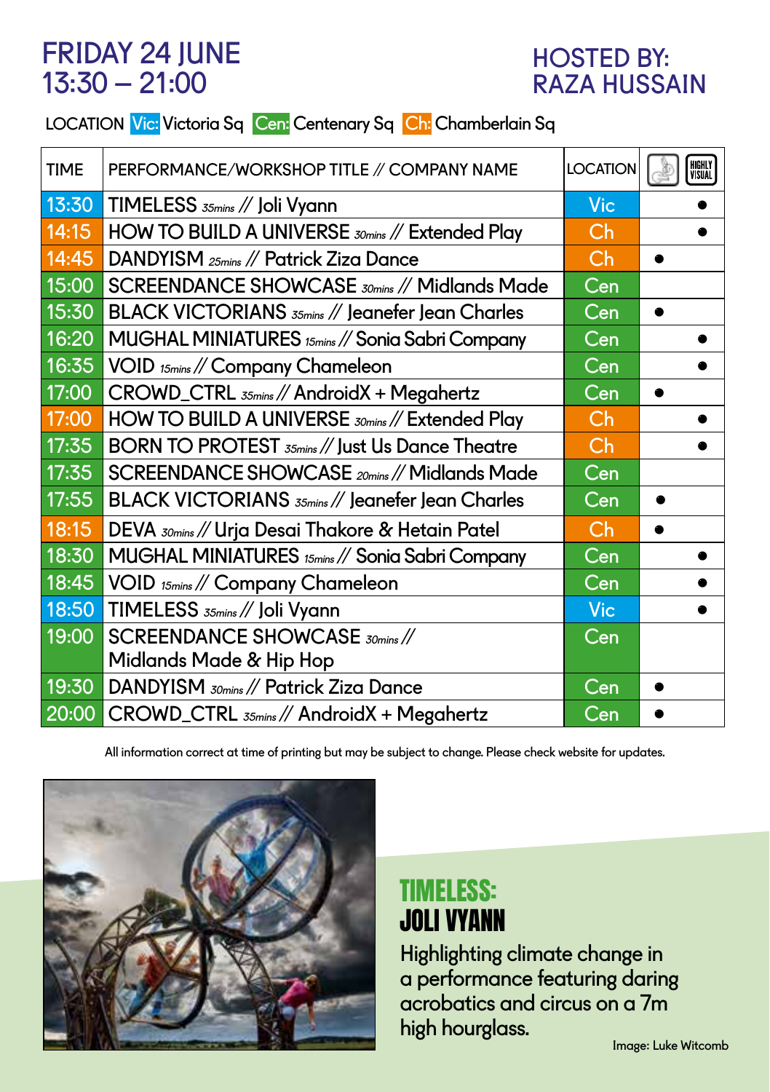#### FRIDAY 24 JUNE 13:30 – 21:00

#### HOSTED BY: RAZA HUSSAIN

#### LOCATION Vic: Victoria Sq Cen: Centenary Sq Ch: Chamberlain Sq

| <b>TIME</b> | PERFORMANCE/WORKSHOP TITLE // COMPANY NAME       | <b>LOCATION</b>           | HIGHLY<br>Visual |
|-------------|--------------------------------------------------|---------------------------|------------------|
| 13:30       | TIMELESS 35mins // Joli Vyann                    | Vic                       |                  |
| 14:15       | HOW TO BUILD A UNIVERSE 30mins // Extended Play  | Ch                        |                  |
| 14:45       | DANDYISM 25mins // Patrick Ziza Dance            | Ch                        |                  |
| 15:00       | SCREENDANCE SHOWCASE 30mins // Midlands Made     | Cen                       |                  |
| 15:30       | BLACK VICTORIANS 35mins // Jeanefer Jean Charles | Cen                       |                  |
| 16:20       | MUGHAL MINIATURES 15mins // Sonia Sabri Company  | Cen                       |                  |
| 16:35       | VOID 15mins // Company Chameleon                 | Cen                       |                  |
| 17:00       | CROWD_CTRL 35mins // AndroidX + Megahertz        | Cen                       |                  |
| 17:00       | HOW TO BUILD A UNIVERSE 30mins // Extended Play  | Ch                        |                  |
| 17:35       | BORN TO PROTEST 35mins // Just Us Dance Theatre  | Ch                        |                  |
| 17:35       | SCREENDANCE SHOWCASE 20mins // Midlands Made     | $\overline{\mathsf{Cen}}$ |                  |
| 17:55       | BLACK VICTORIANS 35mins // Jeanefer Jean Charles | $\overline{\mathsf{Cen}}$ |                  |
| 18:15       | DEVA 30mins // Urja Desai Thakore & Hetain Patel | Ch                        |                  |
| 18:30       | MUGHAL MINIATURES 15mins // Sonia Sabri Company  | Cen                       |                  |
| 18:45       | VOID 15mins // Company Chameleon                 | Cen                       |                  |
| 18:50       | TIMELESS 35mins // Joli Vyann                    | <b>Vic</b>                |                  |
| 19:00       | SCREENDANCE SHOWCASE 30mins //                   | Cen                       |                  |
|             | Midlands Made & Hip Hop                          |                           |                  |
| 19:30       | DANDYISM 30mins // Patrick Ziza Dance            | Cen                       |                  |
|             | 20:00 CROWD_CTRL 35mins // AndroidX + Megahertz  | Cen                       |                  |

All information correct at time of printing but may be subject to change. Please check website for updates.



#### TIMELESS: JOLI VYANN

Highlighting climate change in a performance featuring daring acrobatics and circus on a 7m high hourglass.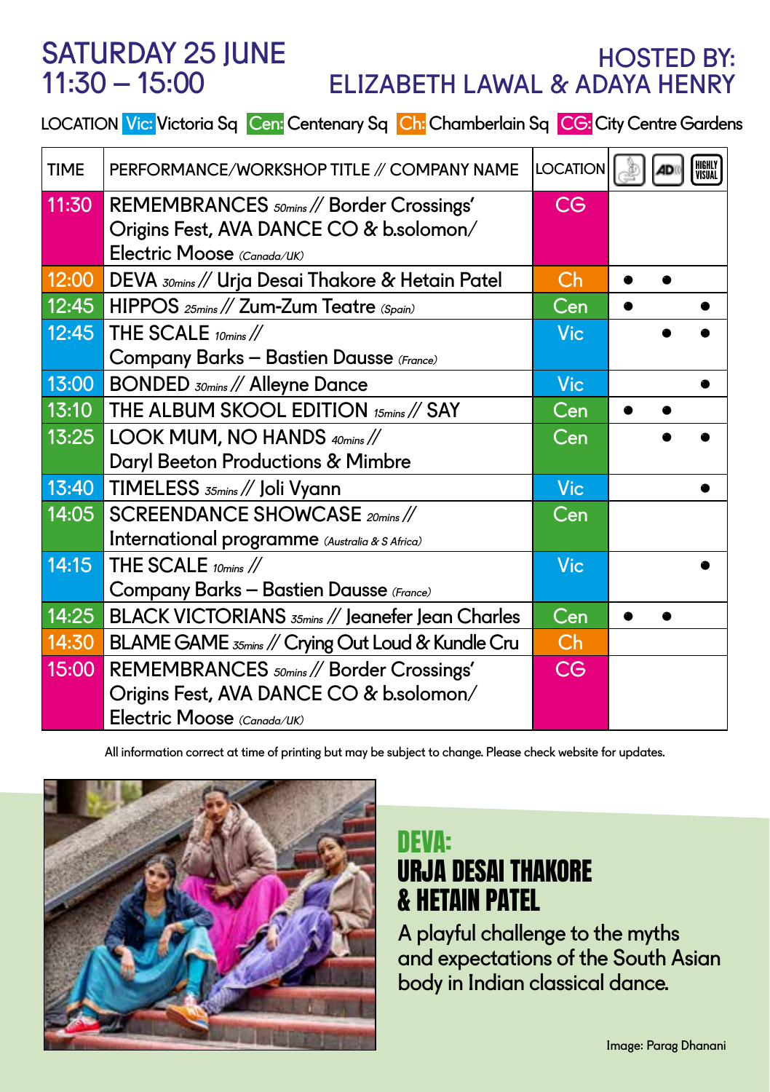#### SATURDAY 25 JUNE  $11:30 - 15:00$

#### HOSTED BY: ELIZABETH LAWAL & ADAYA HENRY

LOCATION Vic: Victoria Sq Cen: Centenary Sq Ch: Chamberlain Sq CG: City Centre Gardens

| <b>TIME</b> | PERFORMANCE/WORKSHOP TITLE // COMPANY NAME                                                     | <b>LOCATION</b> |  | HIGHLY<br>Visual |
|-------------|------------------------------------------------------------------------------------------------|-----------------|--|------------------|
| 11:30       | REMEMBRANCES <sub>50mins</sub> // Border Crossings'<br>Origins Fest, AVA DANCE CO & b.solomon/ | <b>CG</b>       |  |                  |
|             | Electric Moose (Canada/UK)                                                                     |                 |  |                  |
| 12:00       | DEVA <i>somins</i> // Urja Desai Thakore & Hetain Patel                                        | Ch              |  |                  |
|             | 12:45 HIPPOS 25mins // Zum-Zum Teatre (Spain)                                                  | Cen             |  |                  |
| 12:45       | THE SCALE 10mins //                                                                            | <b>Vic</b>      |  |                  |
|             | Company Barks - Bastien Dausse (France)                                                        |                 |  |                  |
| 13:00       | <b>BONDED</b> <i>somins</i> // Alleyne Dance                                                   | <b>Vic</b>      |  |                  |
|             | 13:10 THE ALBUM SKOOL EDITION 15mins // SAY                                                    | Cen             |  |                  |
| 13:25       | LOOK MUM, NO HANDS 40mins //                                                                   | Cen             |  |                  |
|             | Daryl Beeton Productions & Mimbre                                                              |                 |  |                  |
|             | 13:40 TIMELESS 35mins // Joli Vyann                                                            | <b>Vic</b>      |  |                  |
| 14:05       | SCREENDANCE SHOWCASE 20mins //                                                                 | Cen             |  |                  |
|             | International programme (Australia & S Africa)                                                 |                 |  |                  |
| 14:15       | THE SCALE 10mins //                                                                            | <b>Vic</b>      |  |                  |
|             | Company Barks - Bastien Dausse (France)                                                        |                 |  |                  |
| 14:25       | BLACK VICTORIANS 35mins // Jeanefer Jean Charles                                               | Cen             |  |                  |
| 14:30       | BLAME GAME 35mins // Crying Out Loud & Kundle Cru                                              | Ch              |  |                  |
| 15:00       | REMEMBRANCES <sub>50mins</sub> // Border Crossings'                                            | <b>CG</b>       |  |                  |
|             | Origins Fest, AVA DANCE CO & b.solomon/                                                        |                 |  |                  |
|             | Electric Moose (Canada/UK)                                                                     |                 |  |                  |

All information correct at time of printing but may be subject to change. Please check website for updates.



#### DEVA: URJA DESAI THAKORE & HETAIN PATEL

A playful challenge to the myths and expectations of the South Asian body in Indian classical dance.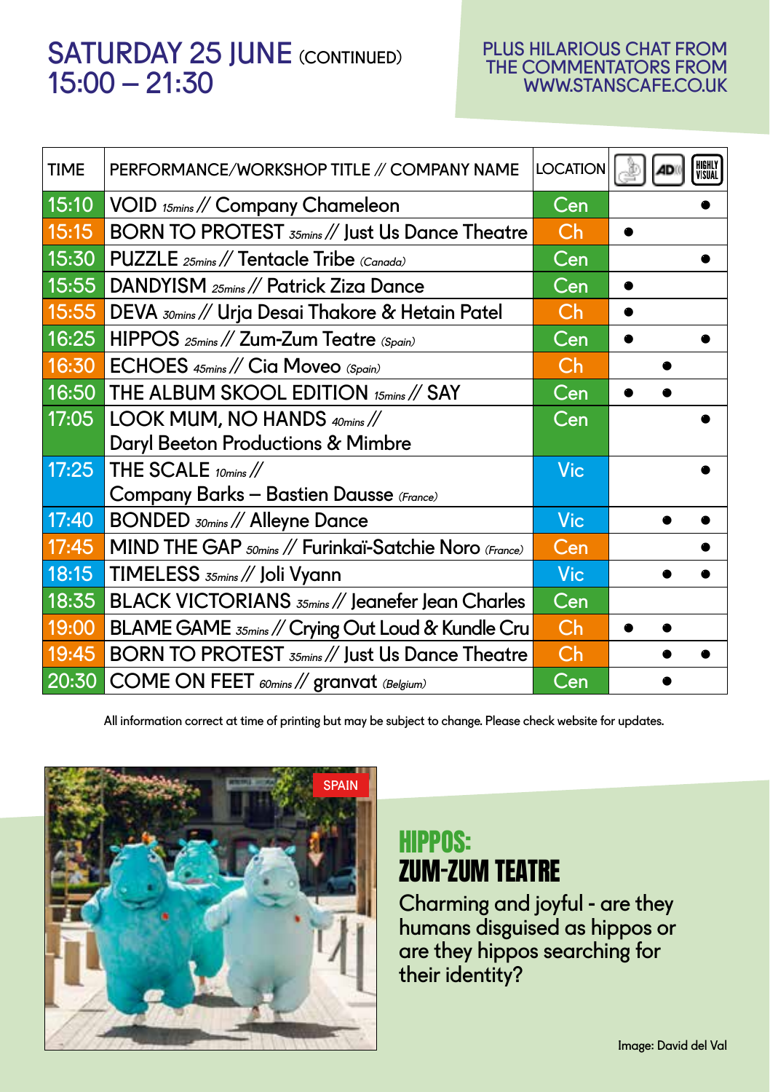#### SATURDAY 25 JUNE (CONTINUED) 15:00 – 21:30

#### PLUS HILARIOUS CHAT FROM THE COMMENTATORS FROM WWW.STANSCAFE.CO.UK

| <b>TIME</b> | PERFORMANCE/WORKSHOP TITLE // COMPANY NAME                                         | <b>LOCATION</b> | HIGHLY<br>Visual |
|-------------|------------------------------------------------------------------------------------|-----------------|------------------|
| 15:10       | VOID 15mins // Company Chameleon                                                   | Cen             |                  |
| 15:15       | BORN TO PROTEST 35mins // Just Us Dance Theatre                                    | Ch              |                  |
| 15:30       | PUZZLE 25mins // Tentacle Tribe (Canada)                                           | Cen             |                  |
| 15:55       | DANDYISM 25mins // Patrick Ziza Dance                                              | Cen             |                  |
| 15:55       | DEVA <sub>30mins</sub> // Urja Desai Thakore & Hetain Patel                        | Ch              |                  |
| 16:25       | HIPPOS 25mins // Zum-Zum Teatre (Spain)                                            | Cen             |                  |
| 16:30       | ECHOES 45mins // Cia Moveo (Spain)                                                 | Ch              |                  |
| 16:50       | THE ALBUM SKOOL EDITION 15mins // SAY                                              | Cen             |                  |
| 17:05       | LOOK MUM, NO HANDS 40mins //                                                       | Cen             |                  |
|             | <b>Daryl Beeton Productions &amp; Mimbre</b>                                       |                 |                  |
| 17:25       | THE SCALE $_{10\text{mins}}$ //                                                    | Vic             |                  |
|             | Company Barks - Bastien Dausse (France)                                            |                 |                  |
| 17:40       | <b>BONDED</b> <i>somins</i> // Alleyne Dance                                       | <b>Vic</b>      |                  |
| 17:45       | MIND THE GAP <sub>50mins</sub> // Furinkaï-Satchie Noro (France)                   | Cen             |                  |
| 18:15       | TIMELESS 35mins // Joli Vyann                                                      | <b>Vic</b>      |                  |
| 18:35       | BLACK VICTORIANS 35mins // Jeanefer Jean Charles                                   | Cen             |                  |
| 19:00       | BLAME GAME 35mins // Crying Out Loud & Kundle Cru                                  | Ch              |                  |
| 19:45       | BORN TO PROTEST 35mins // Just Us Dance Theatre                                    | Ch              |                  |
| 20:30       | $ $ COME ON FEET $_{\text{\tiny{60min}}}/\!/$ granvat $_{\text{\tiny{(Belgium)}}}$ | Cen             |                  |

All information correct at time of printing but may be subject to change. Please check website for updates.



#### HIPPOS: ZUM-ZUM TEATRE

Charming and joyful - are they humans disguised as hippos or are they hippos searching for their identity?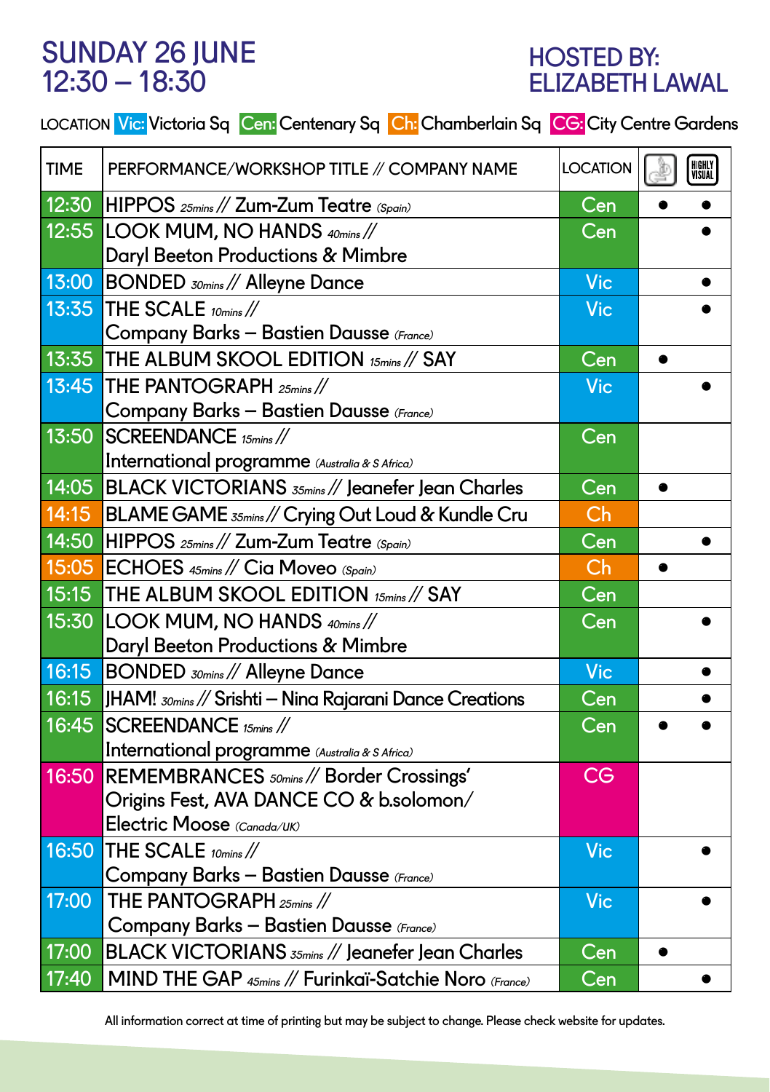#### SUNDAY 26 JUNE 12:30 – 18:30

#### HOSTED BY: ELIZABETH LAWAL

|  |  |  | LOCATION <mark>Vic: Victoria Sq Cen:</mark> Centenary Sq <mark>Ch:</mark> Chamberlain Sq <mark>CG:</mark> City Centre Gardens |
|--|--|--|-------------------------------------------------------------------------------------------------------------------------------|
|--|--|--|-------------------------------------------------------------------------------------------------------------------------------|

| <b>TIME</b> | PERFORMANCE/WORKSHOP TITLE // COMPANY NAME                          | <b>LOCATION</b>           | HIGHLY<br>Visual |
|-------------|---------------------------------------------------------------------|---------------------------|------------------|
| 12:30       | HIPPOS 25mins // Zum-Zum Teatre (Spain)                             | $\overline{\mathsf{Cen}}$ |                  |
| 12:55       | LOOK MUM, NO HANDS 40mins //                                        | Cen                       |                  |
|             | <b>Daryl Beeton Productions &amp; Mimbre</b>                        |                           |                  |
| 13:00       | BONDED 30mins // Alleyne Dance                                      | Vic                       |                  |
| 13:35       | THE SCALE 10mins //                                                 | <b>Vic</b>                |                  |
|             | Company Barks - Bastien Dausse (France)                             |                           |                  |
| 13:35       | THE ALBUM SKOOL EDITION 15mins // SAY                               | Cen                       |                  |
| 13:45       | THE PANTOGRAPH 25mins //                                            | <b>Vic</b>                |                  |
|             | Company Barks - Bastien Dausse (France)                             |                           |                  |
| 13:50       | $SCREENDANCE$ 15 $mins$ //                                          | $\overline{\mathsf{Cen}}$ |                  |
|             | International programme (Australia & S Africa)                      |                           |                  |
| 14:05       | BLACK VICTORIANS 35mins // Jeanefer Jean Charles                    | Cen                       |                  |
| 14:15       | BLAME GAME 35mins // Crying Out Loud & Kundle Cru                   | Ch                        |                  |
| 14:50       | HIPPOS 25mins // Zum-Zum Teatre (Spain)                             | Cen                       |                  |
| 15:05       | ECHOES 45mins // Cia Moveo (Spain)                                  | Ch                        |                  |
| 15:15       | THE ALBUM SKOOL EDITION 15mins // SAY                               | Cen                       |                  |
| 15:30       | LOOK MUM, NO HANDS 40mins //                                        | Cen                       |                  |
|             | Daryl Beeton Productions & Mimbre                                   |                           |                  |
| 16:15       | <b>BONDED</b> <i>somins</i> // Alleyne Dance                        | <b>Vic</b>                |                  |
| 16:15       | JHAM! $_{30\text{mins}}$ // Srishti — Nina Rajarani Dance Creations | Cen                       |                  |
| 16:45       | $SCREENDANCE$ 15mins //                                             | Cen                       |                  |
|             | International programme (Australia & S Africa)                      |                           |                  |
| 16:50       | REMEMBRANCES <sub>50mins</sub> // Border Crossings'                 | <b>CG</b>                 |                  |
|             | Origins Fest, AVA DANCE CO & b.solomon/                             |                           |                  |
|             | Electric Moose (Canada/UK)                                          |                           |                  |
| 16:50       | THE SCALE 10mins //                                                 | Vic                       |                  |
|             | Company Barks - Bastien Dausse (France)                             |                           |                  |
| 17:00       | THE PANTOGRAPH <sub>25mins</sub> //                                 | <b>Vic</b>                |                  |
|             | Company Barks - Bastien Dausse (France)                             |                           |                  |
| 17:00       | BLACK VICTORIANS 35mins // Jeanefer Jean Charles                    | Cen                       |                  |
| 17:40       | MIND THE GAP 45mins // Furinkaï-Satchie Noro (France)               | Cen                       |                  |

All information correct at time of printing but may be subject to change. Please check website for updates.